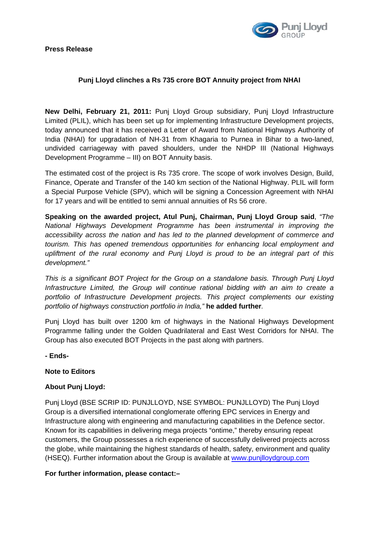**Press Release** 



# **Punj Lloyd clinches a Rs 735 crore BOT Annuity project from NHAI**

**New Delhi, February 21, 2011:** Punj Lloyd Group subsidiary, Punj Lloyd Infrastructure Limited (PLIL), which has been set up for implementing Infrastructure Development projects, today announced that it has received a Letter of Award from National Highways Authority of India (NHAI) for upgradation of NH-31 from Khagaria to Purnea in Bihar to a two-laned, undivided carriageway with paved shoulders, under the NHDP III (National Highways Development Programme – III) on BOT Annuity basis.

The estimated cost of the project is Rs 735 crore. The scope of work involves Design, Build, Finance, Operate and Transfer of the 140 km section of the National Highway. PLIL will form a Special Purpose Vehicle (SPV), which will be signing a Concession Agreement with NHAI for 17 years and will be entitled to semi annual annuities of Rs 56 crore.

**Speaking on the awarded project, Atul Punj, Chairman, Punj Lloyd Group said**, *"The National Highways Development Programme has been instrumental in improving the accessibility across the nation and has led to the planned development of commerce and tourism. This has opened tremendous opportunities for enhancing local employment and upliftment of the rural economy and Punj Lloyd is proud to be an integral part of this development."* 

*This is a significant BOT Project for the Group on a standalone basis. Through Punj Lloyd Infrastructure Limited, the Group will continue rational bidding with an aim to create a portfolio of Infrastructure Development projects. This project complements our existing portfolio of highways construction portfolio in India,"* **he added further***.* 

Punj Lloyd has built over 1200 km of highways in the National Highways Development Programme falling under the Golden Quadrilateral and East West Corridors for NHAI. The Group has also executed BOT Projects in the past along with partners.

**- Ends-**

### **Note to Editors**

### **About Punj Lloyd:**

Punj Lloyd (BSE SCRIP ID: PUNJLLOYD, NSE SYMBOL: PUNJLLOYD) The Punj Lloyd Group is a diversified international conglomerate offering EPC services in Energy and Infrastructure along with engineering and manufacturing capabilities in the Defence sector. Known for its capabilities in delivering mega projects "ontime," thereby ensuring repeat customers, the Group possesses a rich experience of successfully delivered projects across the globe, while maintaining the highest standards of health, safety, environment and quality (HSEQ). Further information about the Group is available at [www.punjlloydgroup.com](http://www.punjlloydgroup.com/) 

### **For further information, please contact:–**